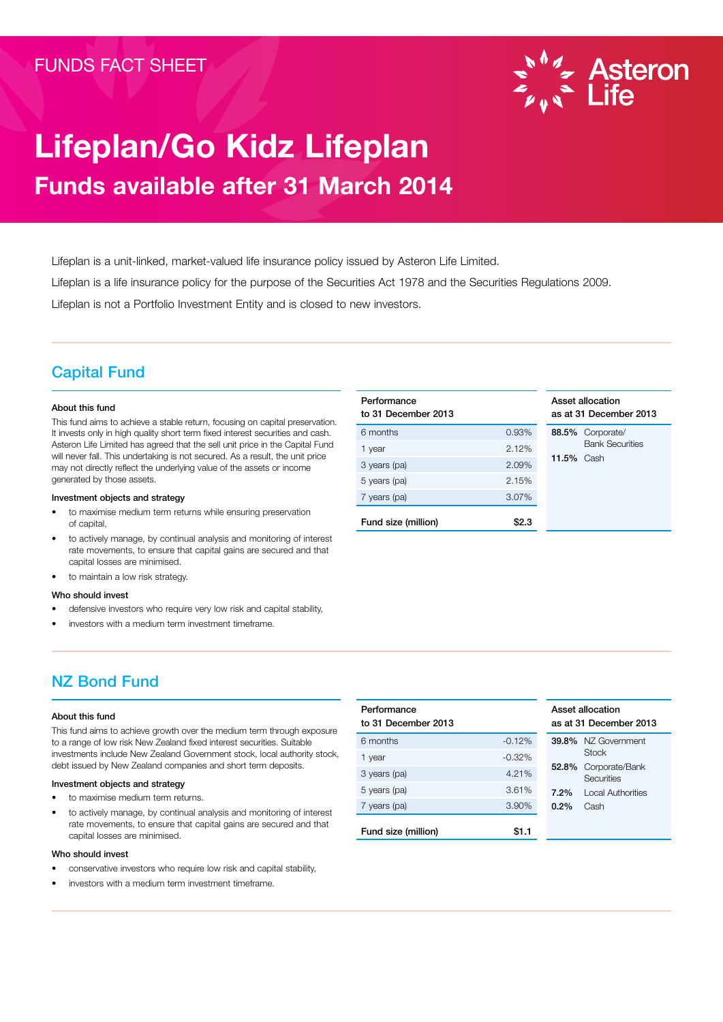

# Lifeplan/Go Kidz Lifeplan Funds available after 31 March 2014

Lifeplan is a unit-linked, market-valued life insurance policy issued by Asteron Life Limited. Lifeplan is a life insurance policy for the purpose of the Securities Act 1978 and the Securities Regulations 2009.

Lifeplan is not a Portfolio Investment Entity and is closed to new investors.

## Capital Fund

#### About this fund

This fund aims to achieve a stable return, focusing on capital preservation. It invests only in high quality short term fixed interest securities and cash. Asteron Life Limited has agreed that the sell unit price in the Capital Fund will never fall. This undertaking is not secured. As a result, the unit price may not directly reflect the underlying value of the assets or income generated by those assets.

#### Investment objects and strategy

- to maximise medium term returns while ensuring preservation of capital,
- to actively manage, by continual analysis and monitoring of interest rate movements, to ensure that capital gains are secured and that capital losses are minimised.
- to maintain a low risk strategy.

#### Who should invest

- defensive investors who require very low risk and capital stability,
- investors with a medium term investment timeframe.

## Performance to 31 December 2013 6 months 0.93% 88.5% Corporate/ 1 year 2.12% 3 years (pa) 2.09% 5 years (pa) 2.15% 7 years (pa) 3.07% Fund size (million) \$2.3

#### Asset allocation as at 31 December 2013

Bank Securities 11.5% Cash

## NZ Bond Fund

#### About this fund

This fund aims to achieve growth over the medium term through exposure to a range of low risk New Zealand fixed interest securities. Suitable investments include New Zealand Government stock, local authority stock, debt issued by New Zealand companies and short term deposits.

#### Investment objects and strategy

- to maximise medium term returns.
- to actively manage, by continual analysis and monitoring of interest rate movements, to ensure that capital gains are secured and that capital losses are minimised.

#### Who should invest

- conservative investors who require low risk and capital stability,
- investors with a medium term investment timeframe.

| Performance<br>to 31 December 2013 |          |       | Asset allocation<br>as at 31 December 2013 |
|------------------------------------|----------|-------|--------------------------------------------|
| 6 months                           | $-0.12%$ |       | 39.8% NZ Government                        |
| 1 year                             | $-0.32%$ |       | Stock                                      |
| 3 years (pa)                       | 4.21%    | 52.8% | Corporate/Bank<br>Securities               |
| 5 years (pa)                       | 3.61%    | 7.2%  | <b>Local Authorities</b>                   |
| 7 years (pa)                       | 3.90%    | 0.2%  | Cash                                       |
| Fund size (million)                | \$1.1    |       |                                            |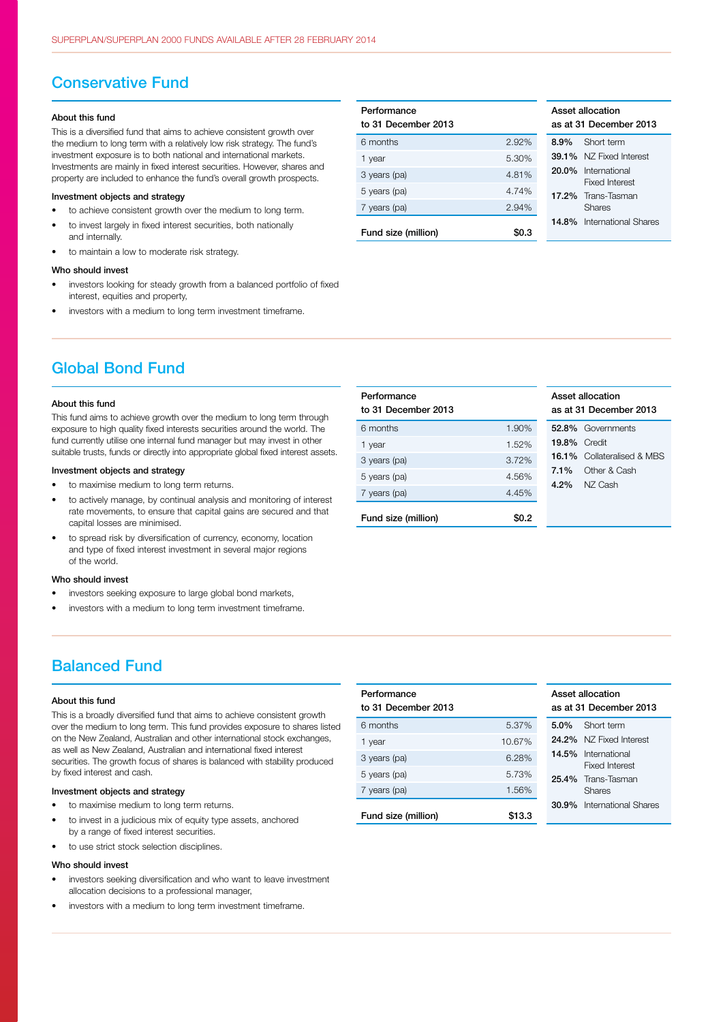### Conservative Fund

#### About this fund

This is a diversified fund that aims to achieve consistent growth over the medium to long term with a relatively low risk strategy. The fund's investment exposure is to both national and international markets. Investments are mainly in fixed interest securities. However, shares and property are included to enhance the fund's overall growth prospects.

#### Investment objects and strategy

- to achieve consistent growth over the medium to long term.
- to invest largely in fixed interest securities, both nationally and internally.
- to maintain a low to moderate risk strategy.

#### Who should invest

- investors looking for steady growth from a balanced portfolio of fixed interest, equities and property,
- investors with a medium to long term investment timeframe.

| Performance<br>to 31 December 2013 |       |         | Asset allocation<br>as at 31 Decemb     |
|------------------------------------|-------|---------|-----------------------------------------|
| 6 months                           | 2.92% | $8.9\%$ | Short term                              |
| 1 year                             | 5.30% |         | <b>39.1%</b> NZ Fixed li                |
| 3 years (pa)                       | 4.81% |         | 20.0% Internation<br><b>Fixed Inter</b> |
| 5 years (pa)                       | 4.74% |         | 17.2% Trans-Tasr                        |
| 7 years (pa)                       | 2.94% |         | <b>Shares</b>                           |
|                                    |       |         | <b>14.8%</b> Internation                |
| Fund size (million)                | \$0.3 |         |                                         |

**Performance** 

| Asset allocation<br>as at 31 December 2013 |                                        |
|--------------------------------------------|----------------------------------------|
| 8.9%                                       | Short term                             |
| 39.1%                                      | N7 Fixed Interest                      |
| 20.0%                                      | International<br><b>Fixed Interest</b> |
|                                            | 17.2% Trans-Tasman<br>Shares           |
|                                            | <b>14.8%</b> International Shares      |

Asset allocation

## Global Bond Fund

#### About this fund

This fund aims to achieve growth over the medium to long term through exposure to high quality fixed interests securities around the world. The fund currently utilise one internal fund manager but may invest in other suitable trusts, funds or directly into appropriate global fixed interest assets.

#### Investment objects and strategy

- to maximise medium to long term returns.
- to actively manage, by continual analysis and monitoring of interest rate movements, to ensure that capital gains are secured and that capital losses are minimised.
- to spread risk by diversification of currency, economy, location and type of fixed interest investment in several major regions of the world.

#### Who should invest

- investors seeking exposure to large global bond markets,
- investors with a medium to long term investment timeframe.

## Balanced Fund

#### About this fund

This is a broadly diversified fund that aims to achieve consistent growth over the medium to long term. This fund provides exposure to shares listed on the New Zealand, Australian and other international stock exchanges, as well as New Zealand, Australian and international fixed interest securities. The growth focus of shares is balanced with stability produced by fixed interest and cash.

#### Investment objects and strategy

- to maximise medium to long term returns.
- to invest in a judicious mix of equity type assets, anchored by a range of fixed interest securities.
- to use strict stock selection disciplines.

#### Who should invest

- investors seeking diversification and who want to leave investment allocation decisions to a professional manager
- investors with a medium to long term investment timeframe.

|       |                     | as at 31 December 2013            |
|-------|---------------------|-----------------------------------|
| 1.90% |                     | 52.8% Governments                 |
| 1.52% | <b>19.8% Credit</b> |                                   |
| 3.72% |                     | <b>16.1%</b> Collateralised & MBS |
| 4.56% |                     | Other & Cash                      |
| 4.45% |                     | NZ Cash                           |
| \$0.2 |                     |                                   |
|       |                     | $7.1\%$<br>$4.2\%$                |

| Performance<br>to 31 December 2013 |        |          | Asset allocation<br>as at 31 Decemb     |
|------------------------------------|--------|----------|-----------------------------------------|
| 6 months                           | 5.37%  | $5.0\%$  | Short term                              |
| 1 year                             | 10.67% |          | 24.2% NZ Fixed li                       |
| 3 years (pa)                       | 6.28%  |          | 14.5% Internation<br><b>Fixed Inter</b> |
| 5 years (pa)                       | 5.73%  |          | 25.4% Trans-Tasn                        |
| 7 years (pa)                       | 1.56%  |          | <b>Shares</b>                           |
| Fund size (million)                | \$13.3 | $30.9\%$ | Internation                             |

| Asset allocation<br>as at 31 December 2013 |                                        |
|--------------------------------------------|----------------------------------------|
| 5.0%                                       | Short term                             |
| 24.2%                                      | N7 Fixed Interest                      |
| 14.5%                                      | International<br><b>Fixed Interest</b> |
|                                            | 25.4% Trans-Tasman<br>Shares           |
|                                            | 30.9% International Shares             |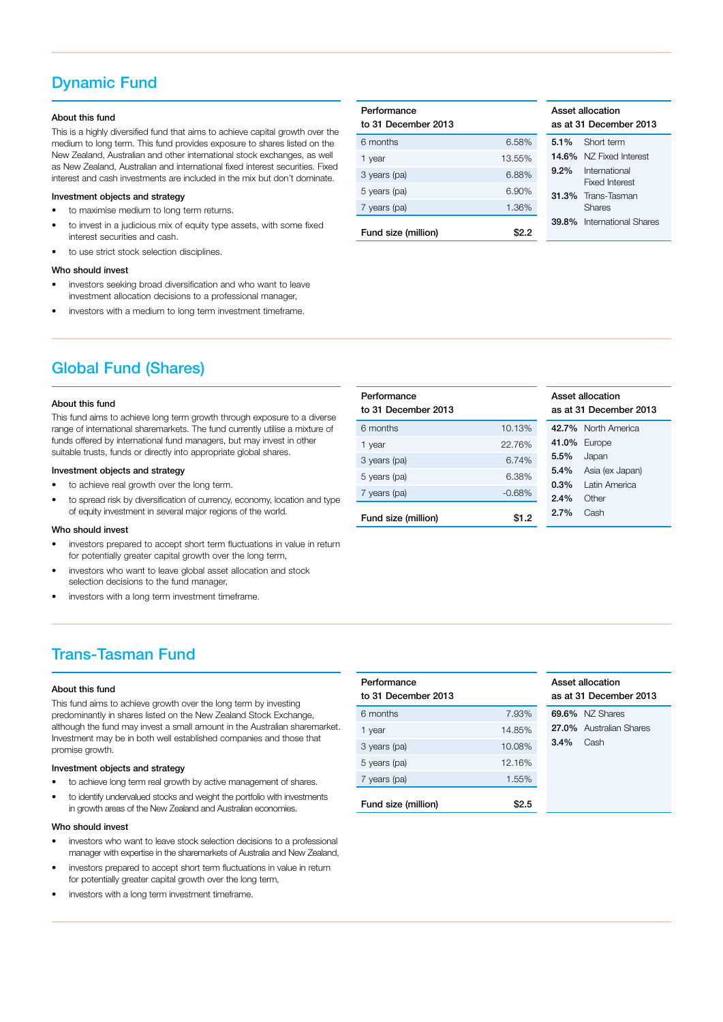## Dynamic Fund

#### About this fund

This is a highly diversified fund that aims to achieve capital growth over the medium to long term. This fund provides exposure to shares listed on the New Zealand, Australian and other international stock exchanges, as well as New Zealand, Australian and international fixed interest securities. Fixed interest and cash investments are included in the mix but don't dominate.

#### Investment objects and strategy

- to maximise medium to long term returns.
- to invest in a judicious mix of equity type assets, with some fixed interest securities and cash.
- to use strict stock selection disciplines.

#### Who should invest

- investors seeking broad diversification and who want to leave investment allocation decisions to a professional manager,
- investors with a medium to long term investment timeframe.

| Performance<br>to 31 December 2013 |        |         | Asset allocation<br>as at 31 Decemb |
|------------------------------------|--------|---------|-------------------------------------|
| 6 months                           | 6.58%  | $5.1\%$ | Short term                          |
| 1 year                             | 13.55% |         | <b>14.6%</b> NZ Fixed li            |
| 3 years (pa)                       | 6.88%  | $9.2\%$ | Internation<br><b>Fixed Inter</b>   |
| 5 years (pa)                       | 6.90%  |         | <b>31.3%</b> Trans-Tasn             |
| 7 years (pa)                       | 1.36%  |         | <b>Shares</b>                       |
|                                    |        | 39.8%   | Internation                         |
| Fund size (million)                | \$2.2  |         |                                     |

| Asset allocation<br>as at 31 December 2013 |                                        |  |
|--------------------------------------------|----------------------------------------|--|
| $5.1\%$                                    | Short term                             |  |
| 14.6%                                      | N7 Fixed Interest                      |  |
| $9.2\%$                                    | International<br><b>Fixed Interest</b> |  |
|                                            | <b>31.3%</b> Trans-Tasman<br>Shares    |  |
|                                            | 39.8% International Shares             |  |

## Global Fund (Shares)

#### About this fund

This fund aims to achieve long term growth through exposure to a diverse range of international sharemarkets. The fund currently utilise a mixture of funds offered by international fund managers, but may invest in other suitable trusts, funds or directly into appropriate global shares.

#### Investment objects and strategy

- to achieve real growth over the long term.
- to spread risk by diversification of currency, economy, location and type of equity investment in several major regions of the world.

#### Who should invest

- investors prepared to accept short term fluctuations in value in return for potentially greater capital growth over the long term,
- investors who want to leave global asset allocation and stock selection decisions to the fund manager,
- investors with a long term investment timeframe.

#### Performance to 31 December 2013 Asset allocation as at 31 December 2013 6 months 10.13% 42.7% North America 41.0% Europe 5.5% Japan 5.4% Asia (ex Japan) 0.3% Latin America 2.4% Other 2.7% Cash 1 year 22.76% 3 years (pa) 6.74% 5 years (pa) 6.38% 7 years (pa)  $-0.68\%$ Fund size (million) \$1.2

## Trans-Tasman Fund

#### About this fund

This fund aims to achieve growth over the long term by investing predominantly in shares listed on the New Zealand Stock Exchange, although the fund may invest a small amount in the Australian sharemarket. Investment may be in both well established companies and those that promise growth.

#### Investment objects and strategy

- to achieve long term real growth by active management of shares.
- to identify undervalued stocks and weight the portfolio with investments in growth areas of the New Zealand and Australian economies.

#### Who should invest

- investors who want to leave stock selection decisions to a professional manager with expertise in the sharemarkets of Australia and New Zealand,
- investors prepared to accept short term fluctuations in value in return for potentially greater capital growth over the long term,
- investors with a long term investment timeframe.

| Performance<br>to 31 December 2013 |        |         | Asset allocation<br>as at 31 Decemb |
|------------------------------------|--------|---------|-------------------------------------|
| 6 months                           | 7.93%  |         | 69.6% NZ Shares                     |
| 1 year                             | 14.85% |         | 27.0% Australian                    |
| 3 years (pa)                       | 10.08% | $3.4\%$ | Cash                                |
| 5 years (pa)                       | 12.16% |         |                                     |
| 7 years (pa)                       | 1.55%  |         |                                     |
| Fund size (million)                |        |         |                                     |

| assei allocation<br>as at 31 December 2013 |                         |
|--------------------------------------------|-------------------------|
|                                            | 69.6% NZ Shares         |
|                                            | 27.0% Australian Shares |
| $3.4\%$ Cash                               |                         |
|                                            |                         |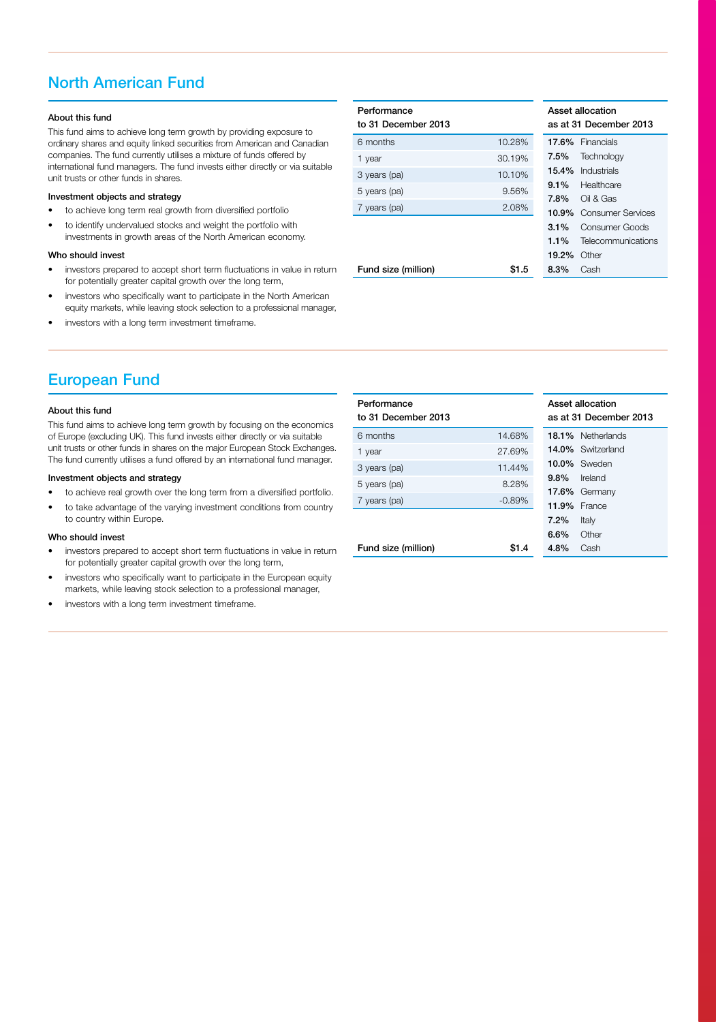## North American Fund

#### About this fund

This fund aims to achieve long term growth by providing exposure to ordinary shares and equity linked securities from American and Canadian companies. The fund currently utilises a mixture of funds offered by international fund managers. The fund invests either directly or via suitable unit trusts or other funds in shares.

#### Investment objects and strategy

- to achieve long term real growth from diversified portfolio
- to identify undervalued stocks and weight the portfolio with investments in growth areas of the North American economy.

#### Who should invest

- investors prepared to accept short term fluctuations in value in return for potentially greater capital growth over the long term,
- investors who specifically want to participate in the North American equity markets, while leaving stock selection to a professional manager,
- investors with a long term investment timeframe.

| Performance<br>to 31 December 2013 |        |         | Asset allocation<br>as at 31 Deceml |
|------------------------------------|--------|---------|-------------------------------------|
| 6 months                           | 10.28% |         | 17.6% Financials                    |
| 1 year                             | 30.19% | 7.5%    | Technolog                           |
| 3 years (pa)                       | 10.10% | 15.4%   | Industrials                         |
| 5 years (pa)                       | 9.56%  | $9.1\%$ | Healthcar                           |
| 7 years (pa)                       | 2.08%  | 7.8%    | Oil & Gas                           |
|                                    |        | 10.9%   | Consume                             |
|                                    |        | $3.1\%$ | Consume                             |
|                                    |        | 1.1%    | Telecomn                            |
|                                    |        | 19.2%   | Other                               |
| Fund size (million)                | \$1.5  | 8.3%    | Cash                                |

| Asset allocation<br>as at 31 December 2013 |                          |  |
|--------------------------------------------|--------------------------|--|
|                                            | <b>17.6%</b> Financials  |  |
| $7.5\%$                                    | Technology               |  |
|                                            | <b>15.4%</b> Industrials |  |
| $9.1\%$                                    | Healthcare               |  |
| 7.8%                                       | Oil & Gas                |  |
| 10.9%                                      | Consumer Services        |  |
| $3.1\%$                                    | Consumer Goods           |  |
| $1.1\%$                                    | Telecommunications       |  |
| $19.2\%$                                   | Other                    |  |
| $8.3\%$                                    | Cash                     |  |

## European Fund

#### About this fund

This fund aims to achieve long term growth by focusing on the economics of Europe (excluding UK). This fund invests either directly or via suitable unit trusts or other funds in shares on the major European Stock Exchanges. The fund currently utilises a fund offered by an international fund manager.

#### Investment objects and strategy

- to achieve real growth over the long term from a diversified portfolio.
- to take advantage of the varying investment conditions from country to country within Europe.

#### Who should invest

- investors prepared to accept short term fluctuations in value in return for potentially greater capital growth over the long term,
- investors who specifically want to participate in the European equity markets, while leaving stock selection to a professional manager,
- investors with a long term investment timeframe.

| Performance<br>to 31 December 2013 |          | Asset allocation<br>as at 31 December 2013 |                          |
|------------------------------------|----------|--------------------------------------------|--------------------------|
| 6 months                           | 14.68%   |                                            | <b>18.1%</b> Netherlands |
| 1 year                             | 27.69%   |                                            | <b>14.0%</b> Switzerland |
| 3 years (pa)                       | 11.44%   |                                            | <b>10.0%</b> Sweden      |
| 5 years (pa)                       | 8.28%    | $9.8\%$                                    | Ireland                  |
| 7 years (pa)                       | $-0.89%$ |                                            | 17.6% Germany            |
|                                    |          | 11.9%                                      | France                   |
|                                    |          | $7.2\%$                                    | Italy                    |
|                                    |          | 6.6%                                       | Other                    |
| Fund size (million)                | \$1.4    | $4.8\%$                                    | Cash                     |
|                                    |          |                                            |                          |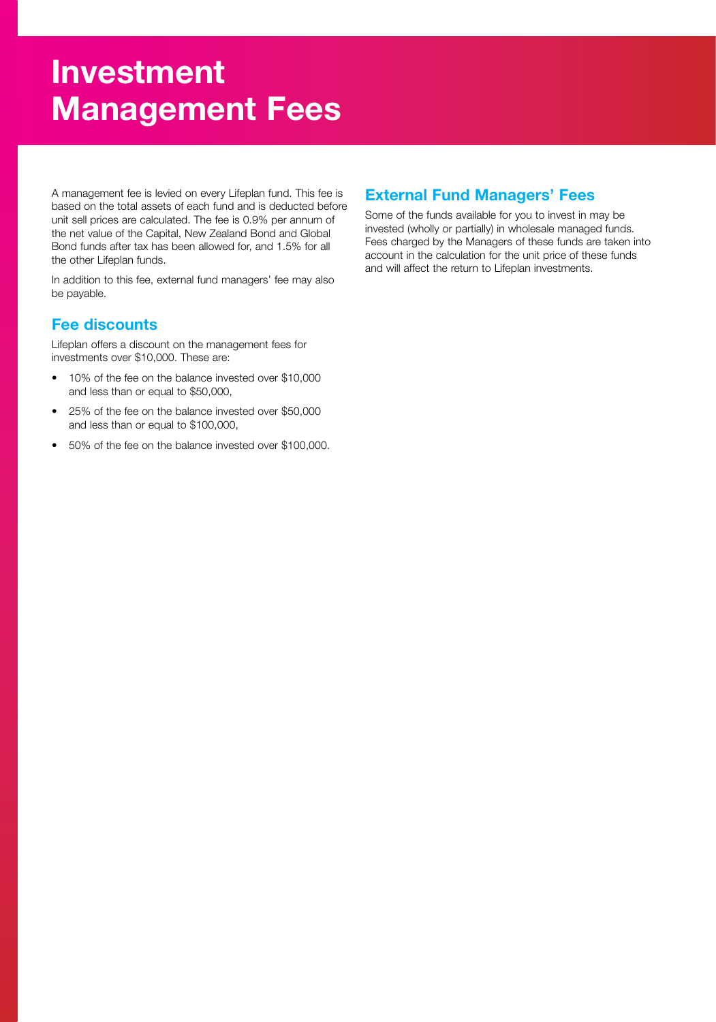# Investment Management Fees

A management fee is levied on every Lifeplan fund. This fee is based on the total assets of each fund and is deducted before unit sell prices are calculated. The fee is 0.9% per annum of the net value of the Capital, New Zealand Bond and Global Bond funds after tax has been allowed for, and 1.5% for all the other Lifeplan funds.

In addition to this fee, external fund managers' fee may also be payable.

## Fee discounts

Lifeplan offers a discount on the management fees for investments over \$10,000. These are:

- 10% of the fee on the balance invested over \$10,000 and less than or equal to \$50,000,
- 25% of the fee on the balance invested over \$50,000 and less than or equal to \$100,000,
- 50% of the fee on the balance invested over \$100,000.

## External Fund Managers' Fees

Some of the funds available for you to invest in may be invested (wholly or partially) in wholesale managed funds. Fees charged by the Managers of these funds are taken into account in the calculation for the unit price of these funds and will affect the return to Lifeplan investments.